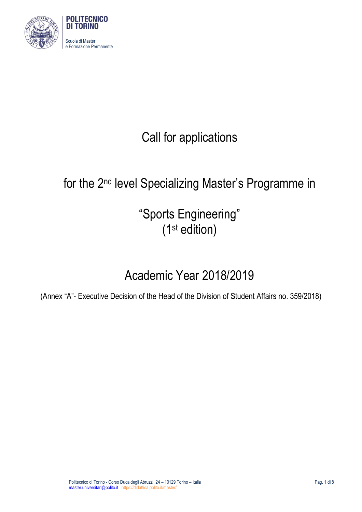

# Call for applications

# for the 2nd level Specializing Master's Programme in

"Sports Engineering" (1st edition)

# Academic Year 2018/2019

(Annex "A"- Executive Decision of the Head of the Division of Student Affairs no. 359/2018)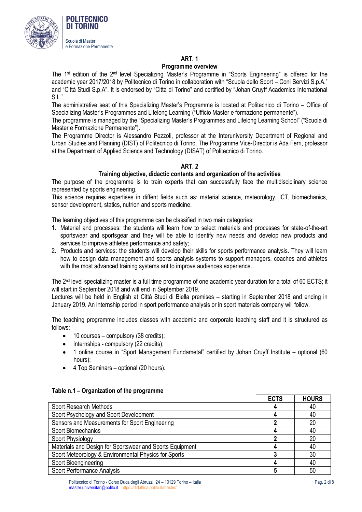

### **Programme overview**

The 1<sup>st</sup> edition of the 2<sup>nd</sup> level Specializing Master's Programme in "Sports Engineering" is offered for the academic year 2017/2018 by Politecnico di Torino in collaboration with "Scuola dello Sport – Coni Servizi S.p.A." and "Città Studi S.p.A". It is endorsed by "Città di Torino" and certified by "Johan Cruyff Academics International S.L.".

The administrative seat of this Specializing Master's Programme is located at Politecnico di Torino – Office of Specializing Master's Programmes and Lifelong Learning ("Ufficio Master e formazione permanente").

The programme is managed by the "Specializing Master's Programmes and Lifelong Learning School" ("Scuola di Master e Formazione Permanente").

The Programme Director is Alessandro Pezzoli, professor at the Interuniversity Department of Regional and Urban Studies and Planning (DIST) of Politecnico di Torino. The Programme Vice-Director is Ada Ferri, professor at the Department of Applied Science and Technology (DISAT) of Politecnico di Torino.

## **ART. 2**

## **Training objective, didactic contents and organization of the activities**

The purpose of the programme is to train experts that can successfully face the multidisciplinary science rapresented by sports engineering.

This science requires expertises in diffent fields such as: material science, meteorology, ICT, biomechanics, sensor development, statics, nutrion and sports medicine.

The learning objectives of this programme can be classified in two main categories:

- 1. Material and processes: the students will learn how to select materials and processes for state-of-the-art sportswear and sportsgear and they will be able to identify new needs and develop new products and services to improve athletes performance and safety;
- 2. Products and services: the students will develop their skills for sports performance analysis. They will learn how to design data management and sports analysis systems to support managers, coaches and athletes with the most advanced training systems ant to improve audiences experience.

The 2<sup>nd</sup> level specializing master is a full time programme of one academic year duration for a total of 60 ECTS; it will start in September 2018 and will end in September 2019.

Lectures will be held in English at Città Studi di Biella premises – starting in September 2018 and ending in January 2019. An internship period in sport performance analysis or in sport materials company will follow.

The teaching programme includes classes with academic and corporate teaching staff and it is structured as follows:

- 10 courses compulsory (38 credits);
- Internships compulsory (22 credits);
- 1 online course in "Sport Management Fundametal" certified by Johan Cruyff Institute optional (60 hours);
- 4 Top Seminars optional (20 hours).

|                                                          | <b>ECTS</b> | <b>HOURS</b> |
|----------------------------------------------------------|-------------|--------------|
| Sport Research Methods                                   |             | 40           |
| Sport Psychology and Sport Development                   |             | 40           |
| Sensors and Measurements for Sport Engineering           |             | 20           |
| Sport Biomechanics                                       |             | 40           |
| Sport Physiology                                         |             | 20           |
| Materials and Design for Sportswear and Sports Equipment |             | 40           |
| Sport Meteorology & Environmental Physics for Sports     |             | 30           |
| Sport Bioengineering                                     |             | 40           |
| <b>Sport Performance Analysis</b>                        |             | 50           |

### **Table n.1 – Organization of the programme**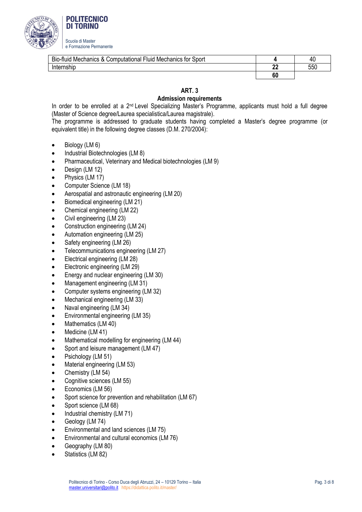

| Bio-fluid<br><b>Computational Fluid Mechanics for Sport</b><br>u Mechanics & C≀ |         | 40  |
|---------------------------------------------------------------------------------|---------|-----|
| rnshic                                                                          | n,<br>" | 550 |
|                                                                                 | 60      |     |

# **Admission requirements**

In order to be enrolled at a 2<sup>nd</sup> Level Specializing Master's Programme, applicants must hold a full degree (Master of Science degree/Laurea specialistica/Laurea magistrale).

The programme is addressed to graduate students having completed a Master's degree programme (or equivalent title) in the following degree classes (D.M. 270/2004):

- Biology (LM 6)
- Industrial Biotechnologies (LM 8)
- Pharmaceutical, Veterinary and Medical biotechnologies (LM 9)
- Design (LM 12)
- Physics (LM 17)
- Computer Science (LM 18)
- Aerospatial and astronautic engineering (LM 20)
- Biomedical engineering (LM 21)
- Chemical engineering (LM 22)
- Civil engineering (LM 23)
- Construction engineering (LM 24)
- Automation engineering (LM 25)
- Safety engineering (LM 26)
- Telecommunications engineering (LM 27)
- Electrical engineering (LM 28)
- Electronic engineering (LM 29)
- Energy and nuclear engineering (LM 30)
- Management engineering (LM 31)
- Computer systems engineering (LM 32)
- Mechanical engineering (LM 33)
- Naval engineering (LM 34)
- Environmental engineering (LM 35)
- Mathematics (LM 40)
- Medicine (LM 41)
- Mathematical modelling for engineering (LM 44)
- Sport and leisure management (LM 47)
- Psichology (LM 51)
- Material engineering (LM 53)
- Chemistry (LM 54)
- Cognitive sciences (LM 55)
- Economics (LM 56)
- Sport science for prevention and rehabilitation (LM 67)
- Sport science (LM 68)
- Industrial chemistry (LM 71)
- Geology (LM 74)
- Environmental and land sciences (LM 75)
- Environmental and cultural economics (LM 76)
- Geography (LM 80)
- Statistics (LM 82)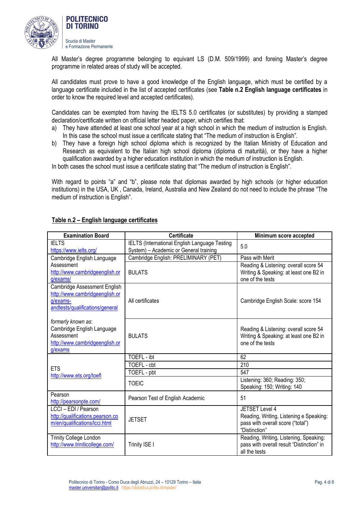

 Scuola di Master e Formazione Permanente

**POLITECNICO DI TORINO** 

All Master's degree programme belonging to equivant LS (D.M. 509/1999) and foreing Master's degree programme in related areas of study will be accepted.

All candidates must prove to have a good knowledge of the English language, which must be certified by a language certificate included in the list of accepted certificates (see **Table n.2 English language certificates** in order to know the required level and accepted certificates).

Candidates can be exempted from having the IELTS 5.0 certificates (or substitutes) by providing a stamped declaration/certificate written on official letter headed paper, which certifies that:

- a) They have attended at least one school year at a high school in which the medium of instruction is English. In this case the school must issue a certificate stating that "The medium of instruction is English".
- b) They have a foreign high school diploma which is recognized by the Italian Ministry of Education and Research as equivalent to the Italian high school diploma (diploma di maturità), or they have a higher qualification awarded by a higher education institution in which the medium of instruction is English.

In both cases the school must issue a certificate stating that "The medium of instruction is English".

With regard to points "a" and "b", please note that diplomas awarded by high schools (or higher education institutions) in the USA, UK , Canada, Ireland, Australia and New Zealand do not need to include the phrase "The medium of instruction is English".

| <b>Examination Board</b>                                                                                      | <b>Certificate</b>                                                                      | Minimum score accepted                                                                                          |
|---------------------------------------------------------------------------------------------------------------|-----------------------------------------------------------------------------------------|-----------------------------------------------------------------------------------------------------------------|
| <b>IELTS</b><br>https://www.ielts.org/                                                                        | IELTS (International English Language Testing<br>System) - Academic or General training | 5.0                                                                                                             |
| Cambridge English Language                                                                                    | Cambridge English: PRELIMINARY (PET)                                                    | Pass with Merit                                                                                                 |
| Assessment<br>http://www.cambridgeenglish.or<br>q/exams/                                                      | <b>BULATS</b>                                                                           | Reading & Listening: overall score 54<br>Writing & Speaking: at least one B2 in<br>one of the tests             |
| Cambridge Assessment English<br>http://www.cambridgeenglish.or<br>g/exams-<br>andtests/qualifications/general | All certificates                                                                        | Cambridge English Scale: score 154                                                                              |
| formerly known as:<br>Cambridge English Language<br>Assessment<br>http://www.cambridgeenglish.or<br>g/exams   | <b>BULATS</b>                                                                           | Reading & Listening: overall score 54<br>Writing & Speaking: at least one B2 in<br>one of the tests             |
|                                                                                                               | TOEFL - ibt                                                                             | 62                                                                                                              |
| <b>ETS</b>                                                                                                    | TOEFL - cbt                                                                             | 210                                                                                                             |
| http://www.ets.org/toefl                                                                                      | TOEFL - pbt                                                                             | 547                                                                                                             |
|                                                                                                               | <b>TOEIC</b>                                                                            | Listening: 360; Reading: 350;<br>Speaking: 150; Writing: 140                                                    |
| Pearson<br>http://pearsonpte.com/                                                                             | Pearson Test of English Academic                                                        | 51                                                                                                              |
| LCCI - EDI / Pearson<br>http://qualifications.pearson.co<br>m/en/qualifications/lcci.html                     | <b>JETSET</b>                                                                           | JETSET Level 4<br>Reading, Writing, Listening e Speaking:<br>pass with overall score ("total")<br>"Distinction" |
| Trinity College London<br>http://www.triniticollege.com/                                                      | Trinity ISE I                                                                           | Reading, Writing, Listening, Speaking:<br>pass with overall result "Distinction" in<br>all the tests            |

## **Table n.2 – English language certificates**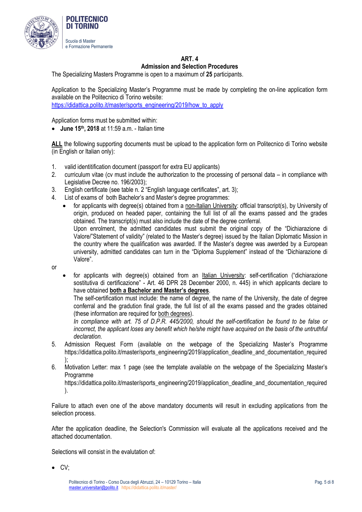

## **Admission and Selection Procedures**

The Specializing Masters Programme is open to a maximum of **25** participants.

Application to the Specializing Master's Programme must be made by completing the on-line application form available on the Politecnico di Torino website:

[https://didattica.polito.it/master/sports\\_engineering/2019/how\\_to\\_apply](https://didattica.polito.it/master/sports_engineering/2019/how_to_apply)

Application forms must be submitted within:

**June 15th, 2018** at 11:59 a.m. - Italian time

**ALL** the following supporting documents must be upload to the application form on Politecnico di Torino website (in English or Italian only):

- 1. valid identitification document (passport for extra EU applicants)
- 2. curriculum vitae (cv must include the authorization to the processing of personal data in compliance with Legislative Decree no. 196/2003);
- 3. English certificate (see table n. 2 "English language certificates", art. 3);
- 4. List of exams of both Bachelor's and Master's degree programmes:
	- for applicants with degree(s) obtained from a non-Italian University: official transcript(s), by University of origin, produced on headed paper, containing the full list of all the exams passed and the grades obtained. The transcript(s) must also include the date of the degree conferral. Upon enrolment, the admitted candidates must submit the original copy of the "Dichiarazione di Valore/"Statement of validity" (related to the Master's degree) issued by the Italian Diplomatic Mission in the country where the qualification was awarded. If the Master's degree was awerded by a European university, admitted candidates can turn in the "Diploma Supplement" instead of the "Dichiarazione di Valore".
- or
- for applicants with degree(s) obtained from an *Italian University*: self-certification ("dichiarazione sostitutiva di certificazione" - Art. 46 DPR 28 December 2000, n. 445) in which applicants declare to have obtained **both a Bachelor and Master's degrees**.

The self-certification must include: the name of degree, the name of the University, the date of degree conferral and the gradution final grade, the full list of all the exams passed and the grades obtained (these information are required for both degrees).

*In compliance with art. 75 of D.P.R. 445/2000, should the self-certification be found to be false or incorrect, the applicant loses any benefit which he/she might have acquired on the basis of the untruthful declaration.* 

- 5. Admission Request Form (available on the webpage of the Specializing Master's Programme https://didattica.polito.it/master/sports\_engineering/2019/application\_deadline\_and\_documentation\_required );
- 6. Motivation Letter: max 1 page (see the template available on the webpage of the Specializing Master's Programme

https://didattica.polito.it/master/sports\_engineering/2019/application\_deadline\_and\_documentation\_required ).

Failure to attach even one of the above mandatory documents will result in excluding applications from the selection process.

After the application deadline, the Selection's Commission will evaluate all the applications received and the attached documentation.

Selections will consist in the evalutation of:

 $\bullet$  CV;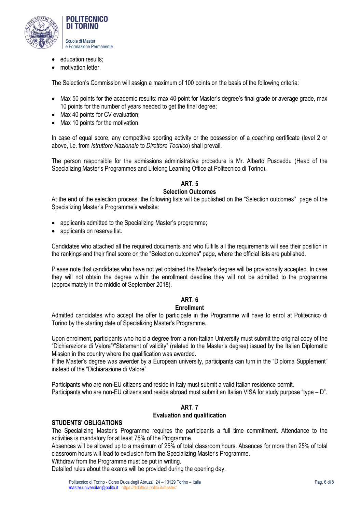

- education results;
- motivation letter.

The Selection's Commission will assign a maximum of 100 points on the basis of the following criteria:

- Max 50 points for the academic results: max 40 point for Master's degree's final grade or average grade, max 10 points for the number of years needed to get the final degree;
- Max 40 points for CV evaluation;
- Max 10 points for the motivation.

In case of equal score, any competitive sporting activity or the possession of a coaching certificate (level 2 or above, i.e. from *Istruttore Nazionale* to *Direttore Tecnico*) shall prevail.

The person responsible for the admissions administrative procedure is Mr. Alberto Pusceddu (Head of the Specializing Master's Programmes and Lifelong Learning Office at Politecnico di Torino).

#### **ART. 5 Selection Outcomes**

At the end of the selection process, the following lists will be published on the "Selection outcomes" page of the Specializing Master's Programme's website:

- applicants admitted to the Specializing Master's progremme;
- applicants on reserve list.

Candidates who attached all the required documents and who fulfills all the requirements will see their position in the rankings and their final score on the "Selection outcomes" page, where the official lists are published.

Please note that candidates who have not yet obtained the Master's degree will be provisonally accepted. In case they will not obtain the degree within the enrollment deadline they will not be admitted to the programme (approximately in the middle of September 2018).

# **ART. 6**

## **Enrollment**

Admitted candidates who accept the offer to participate in the Programme will have to enrol at Politecnico di Torino by the starting date of Specializing Master's Programme.

Upon enrolment, participants who hold a degree from a non-Italian University must submit the original copy of the "Dichiarazione di Valore"/"Statement of validity" (related to the Master's degree) issued by the Italian Diplomatic Mission in the country where the qualification was awarded.

If the Master's degree was awerder by a European university, participants can turn in the "Diploma Supplement" instead of the "Dichiarazione di Valore".

Participants who are non-EU citizens and reside in Italy must submit a valid Italian residence permit. Participants who are non-EU citizens and reside abroad must submit an Italian VISA for study purpose "type – D".

# **ART. 7 Evaluation and qualification**

### **STUDENTS' OBLIGATIONS**

The Specializing Master's Programme requires the participants a full time commitment. Attendance to the activities is mandatory for at least 75% of the Programme.

Absences will be allowed up to a maximum of 25% of total classroom hours. Absences for more than 25% of total classroom hours will lead to exclusion form the Specializing Master's Programme.

Withdraw from the Programme must be put in writing.

Detailed rules about the exams will be provided during the opening day.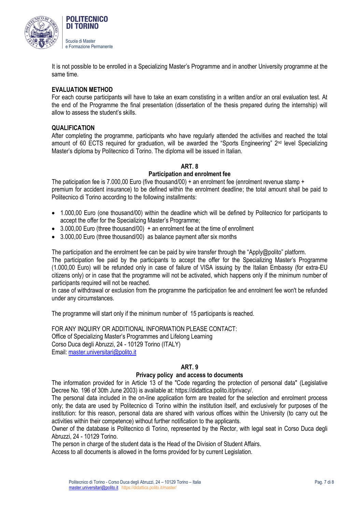

It is not possible to be enrolled in a Specializing Master's Programme and in another University programme at the same time.

## **EVALUATION METHOD**

For each course participants will have to take an exam constisting in a written and/or an oral evaluation test. At the end of the Programme the final presentation (dissertation of the thesis prepared during the internship) will allow to assess the student's skills.

## **QUALIFICATION**

After completing the programme, participants who have regularly attended the activities and reached the total amount of 60 ECTS required for graduation, will be awarded the "Sports Engineering" 2<sup>nd</sup> level Specializing Master's diploma by Politecnico di Torino. The diploma will be issued in Italian.

## **ART. 8**

## **Participation and enrolment fee**

The paticipation fee is 7.000,00 Euro (five thousand/00) + an enrolment fee (enrolment revenue stamp + premium for accident insurance) to be defined within the enrolment deadline; the total amount shall be paid to Politecnico di Torino according to the following installments:

- 1.000,00 Euro (one thousand/00) within the deadline which will be defined by Politecnico for participants to accept the offer for the Specializing Master's Programme;
- $\bullet$  3.000,00 Euro (three thousand/00) + an enrolment fee at the time of enrollment
- 3.000,00 Euro (three thousand/00) as balance payment after six months

The participation and the enrolment fee can be paid by wire transfer through the "Apply@polito" platform.

The participation fee paid by the participants to accept the offer for the Specializing Master's Programme (1.000,00 Euro) will be refunded only in case of failure of VISA issuing by the Italian Embassy (for extra-EU citizens only) or in case that the programme will not be activated, which happens only if the minimum number of participants required will not be reached.

In case of withdrawal or exclusion from the programme the participation fee and enrolment fee won't be refunded under any circumstances.

The programme will start only if the minimum number of 15 participants is reached.

FOR ANY INQUIRY OR ADDITIONAL INFORMATION PLEASE CONTACT: Office of Specializing Master's Programmes and Lifelong Learning Corso Duca degli Abruzzi, 24 - 10129 Torino (ITALY) Email[: master.universitari@polito.it](mailto:master.universitari@polito.it)

## **ART. 9**

### **Privacy policy and access to documents**

The information provided for in Article 13 of the "Code regarding the protection of personal data" (Legislative Decree No. 196 of 30th June 2003) is available at: https://didattica.polito.it/privacy/.

The personal data included in the on-line application form are treated for the selection and enrolment process only; the data are used by Politecnico di Torino within the institution itself, and exclusively for purposes of the institution: for this reason, personal data are shared with various offices within the University (to carry out the activities within their competence) without further notification to the applicants.

Owner of the database is Politecnico di Torino, represented by the Rector, with legal seat in Corso Duca degli Abruzzi, 24 - 10129 Torino.

The person in charge of the student data is the Head of the Division of Student Affairs.

Access to all documents is allowed in the forms provided for by current Legislation.